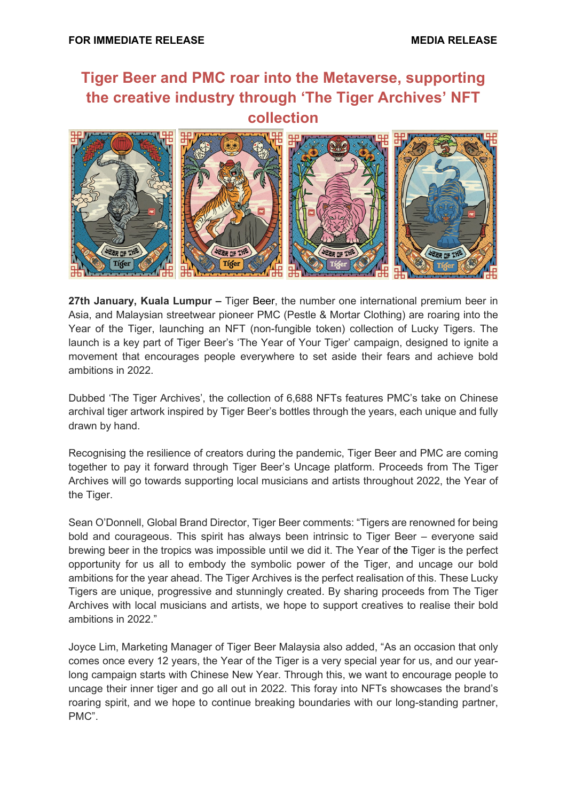## **Tiger Beer and PMC roar into the Metaverse, supporting the creative industry through 'The Tiger Archives' NFT collection**



**27th January, Kuala Lumpur –** Tiger Beer, the number one international premium beer in Asia, and Malaysian streetwear pioneer PMC (Pestle & Mortar Clothing) are roaring into the Year of the Tiger, launching an NFT (non-fungible token) collection of Lucky Tigers. The launch is a key part of Tiger Beer's 'The Year of Your Tiger' campaign, designed to ignite a movement that encourages people everywhere to set aside their fears and achieve bold ambitions in 2022.

Dubbed 'The Tiger Archives', the collection of 6,688 NFTs features PMC's take on Chinese archival tiger artwork inspired by Tiger Beer's bottles through the years, each unique and fully drawn by hand.

Recognising the resilience of creators during the pandemic, Tiger Beer and PMC are coming together to pay it forward through Tiger Beer's Uncage platform. Proceeds from The Tiger Archives will go towards supporting local musicians and artists throughout 2022, the Year of the Tiger.

Sean O'Donnell, Global Brand Director, Tiger Beer comments: "Tigers are renowned for being bold and courageous. This spirit has always been intrinsic to Tiger Beer – everyone said brewing beer in the tropics was impossible until we did it. The Year of the Tiger is the perfect opportunity for us all to embody the symbolic power of the Tiger, and uncage our bold ambitions for the year ahead. The Tiger Archives is the perfect realisation of this. These Lucky Tigers are unique, progressive and stunningly created. By sharing proceeds from The Tiger Archives with local musicians and artists, we hope to support creatives to realise their bold ambitions in 2022."

Joyce Lim, Marketing Manager of Tiger Beer Malaysia also added, "As an occasion that only comes once every 12 years, the Year of the Tiger is a very special year for us, and our yearlong campaign starts with Chinese New Year. Through this, we want to encourage people to uncage their inner tiger and go all out in 2022. This foray into NFTs showcases the brand's roaring spirit, and we hope to continue breaking boundaries with our long-standing partner, PMC".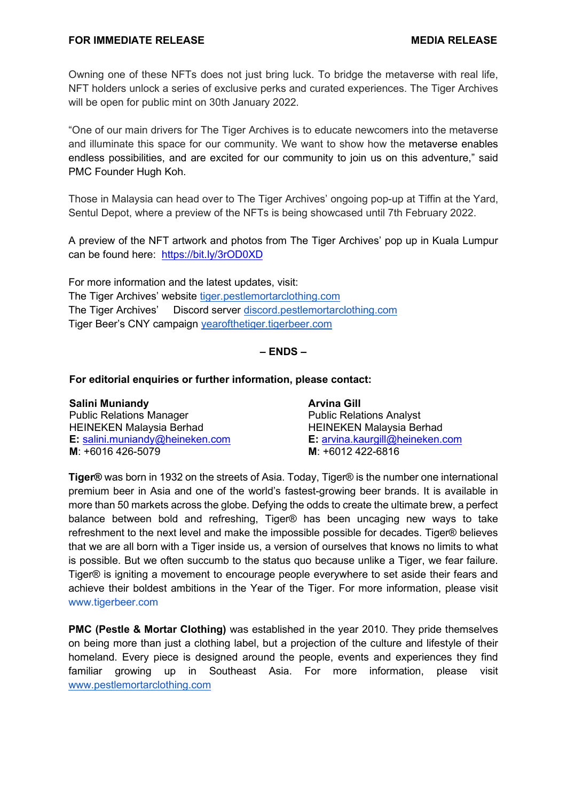Owning one of these NFTs does not just bring luck. To bridge the metaverse with real life, NFT holders unlock a series of exclusive perks and curated experiences. The Tiger Archives will be open for public mint on 30th January 2022.

"One of our main drivers for The Tiger Archives is to educate newcomers into the metaverse and illuminate this space for our community. We want to show how the metaverse enables endless possibilities, and are excited for our community to join us on this adventure," said PMC Founder Hugh Koh.

Those in Malaysia can head over to The Tiger Archives' ongoing pop-up at Tiffin at the Yard, Sentul Depot, where a preview of the NFTs is being showcased until 7th February 2022.

A preview of the NFT artwork and photos from The Tiger Archives' pop up in Kuala Lumpur can be found here: <https://bit.ly/3rOD0XD>

For more information and the latest updates, visit: The Tiger Archives' website [tiger.pestlemortarclothing.com](https://tiger.pestlemortarclothing.com/) The Tiger Archives' Discord server [discord.pestlemortarclothing.com](http://discord.pestlemortarclothing.com/) Tiger Beer's CNY campaign [yearofthetiger.tigerbeer.com](https://yearofthetiger.tigerbeer.com/)

## **– ENDS –**

## **For editorial enquiries or further information, please contact:**

| <b>Salini Muniandy</b>                 | <b>Arvina Gill</b>                 |
|----------------------------------------|------------------------------------|
| <b>Public Relations Manager</b>        | <b>Public Relations Analyst</b>    |
| <b>HEINEKEN Malaysia Berhad</b>        | <b>HEINEKEN Malaysia Berhad</b>    |
| <b>E:</b> salini.muniandy@heineken.com | $E$ : arvina.kaurgill@heineken.com |
| $M: +6016426-5079$                     | $M: +6012422-6816$                 |

**Tiger®** was born in 1932 on the streets of Asia. Today, Tiger® is the number one international premium beer in Asia and one of the world's fastest-growing beer brands. It is available in more than 50 markets across the globe. Defying the odds to create the ultimate brew, a perfect balance between bold and refreshing, Tiger® has been uncaging new ways to take refreshment to the next level and make the impossible possible for decades. Tiger® believes that we are all born with a Tiger inside us, a version of ourselves that knows no limits to what is possible. But we often succumb to the status quo because unlike a Tiger, we fear failure. Tiger® is igniting a movement to encourage people everywhere to set aside their fears and achieve their boldest ambitions in the Year of the Tiger. For more information, please visit [www.tigerbeer.com](http://www.tigerbeer.com/)

**PMC (Pestle & Mortar Clothing)** was established in the year 2010. They pride themselves on being more than just a clothing label, but a projection of the culture and lifestyle of their homeland. Every piece is designed around the people, events and experiences they find familiar growing up in Southeast Asia. For more information, please visit [www.pestlemortarclothing.com](http://www.pestlemortarclothing.com/)